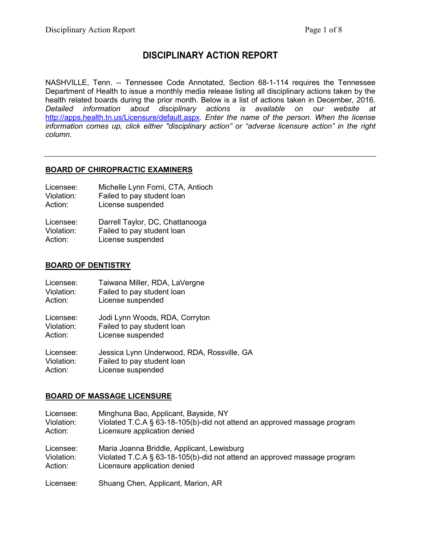# **DISCIPLINARY ACTION REPORT**

NASHVILLE, Tenn. -- Tennessee Code Annotated, Section 68-1-114 requires the Tennessee Department of Health to issue a monthly media release listing all disciplinary actions taken by the health related boards during the prior month. Below is a list of actions taken in December, 2016. *Detailed information about disciplinary actions is available on our website at* <http://apps.health.tn.us/Licensure/default.aspx>*. Enter the name of the person. When the license information comes up, click either "disciplinary action" or "adverse licensure action" in the right column.*

# **BOARD OF CHIROPRACTIC EXAMINERS**

- Licensee: Michelle Lynn Forni, CTA, Antioch<br>Violation: Failed to pay student loan Violation: Failed to pay student loan<br>Action: License suspended
- License suspended

| Licensee:  | Darrell Taylor, DC, Chattanooga |
|------------|---------------------------------|
| Violation: | Failed to pay student loan      |
| Action:    | License suspended               |

## **BOARD OF DENTISTRY**

| Licensee:  | Taiwana Miller, RDA, LaVergne              |
|------------|--------------------------------------------|
| Violation: | Failed to pay student loan                 |
| Action:    | License suspended                          |
| Licensee:  | Jodi Lynn Woods, RDA, Corryton             |
| Violation: | Failed to pay student loan                 |
| Action:    | License suspended                          |
| Licensee:  | Jessica Lynn Underwood, RDA, Rossville, GA |
| Violation: | Failed to pay student loan                 |
| Action:    | License suspended                          |

## **BOARD OF MASSAGE LICENSURE**

| Licensee:  | Minghuna Bao, Applicant, Bayside, NY                                     |
|------------|--------------------------------------------------------------------------|
| Violation: | Violated T.C.A § 63-18-105(b)-did not attend an approved massage program |
| Action:    | Licensure application denied                                             |
| Licensee:  | Maria Joanna Briddle, Applicant, Lewisburg                               |
| Violation: | Violated T.C.A § 63-18-105(b)-did not attend an approved massage program |
| Action:    | Licensure application denied                                             |
| Licensee:  | Shuang Chen, Applicant, Marion, AR                                       |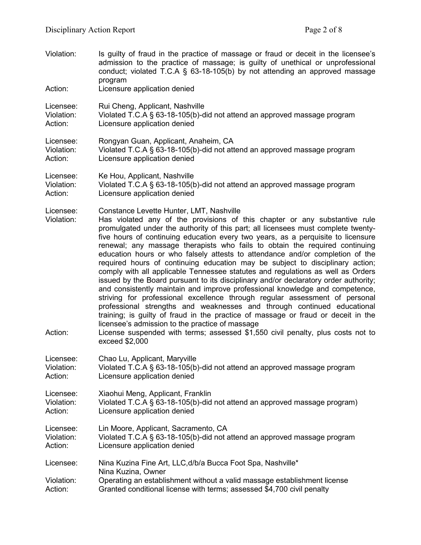| Violation:<br>Action:              | Is guilty of fraud in the practice of massage or fraud or deceit in the licensee's<br>admission to the practice of massage; is guilty of unethical or unprofessional<br>conduct; violated T.C.A $\S$ 63-18-105(b) by not attending an approved massage<br>program<br>Licensure application denied                                                                                                                                                                                                                                                                                                                                                                                                                                                                                                                                                                                                                                                                                                                                                                                                                                                                                                                  |
|------------------------------------|--------------------------------------------------------------------------------------------------------------------------------------------------------------------------------------------------------------------------------------------------------------------------------------------------------------------------------------------------------------------------------------------------------------------------------------------------------------------------------------------------------------------------------------------------------------------------------------------------------------------------------------------------------------------------------------------------------------------------------------------------------------------------------------------------------------------------------------------------------------------------------------------------------------------------------------------------------------------------------------------------------------------------------------------------------------------------------------------------------------------------------------------------------------------------------------------------------------------|
| Licensee:                          | Rui Cheng, Applicant, Nashville                                                                                                                                                                                                                                                                                                                                                                                                                                                                                                                                                                                                                                                                                                                                                                                                                                                                                                                                                                                                                                                                                                                                                                                    |
| Violation:                         | Violated T.C.A § 63-18-105(b)-did not attend an approved massage program                                                                                                                                                                                                                                                                                                                                                                                                                                                                                                                                                                                                                                                                                                                                                                                                                                                                                                                                                                                                                                                                                                                                           |
| Action:                            | Licensure application denied                                                                                                                                                                                                                                                                                                                                                                                                                                                                                                                                                                                                                                                                                                                                                                                                                                                                                                                                                                                                                                                                                                                                                                                       |
| Licensee:                          | Rongyan Guan, Applicant, Anaheim, CA                                                                                                                                                                                                                                                                                                                                                                                                                                                                                                                                                                                                                                                                                                                                                                                                                                                                                                                                                                                                                                                                                                                                                                               |
| Violation:                         | Violated T.C.A § 63-18-105(b)-did not attend an approved massage program                                                                                                                                                                                                                                                                                                                                                                                                                                                                                                                                                                                                                                                                                                                                                                                                                                                                                                                                                                                                                                                                                                                                           |
| Action:                            | Licensure application denied                                                                                                                                                                                                                                                                                                                                                                                                                                                                                                                                                                                                                                                                                                                                                                                                                                                                                                                                                                                                                                                                                                                                                                                       |
| Licensee:                          | Ke Hou, Applicant, Nashville                                                                                                                                                                                                                                                                                                                                                                                                                                                                                                                                                                                                                                                                                                                                                                                                                                                                                                                                                                                                                                                                                                                                                                                       |
| Violation:                         | Violated T.C.A § 63-18-105(b)-did not attend an approved massage program                                                                                                                                                                                                                                                                                                                                                                                                                                                                                                                                                                                                                                                                                                                                                                                                                                                                                                                                                                                                                                                                                                                                           |
| Action:                            | Licensure application denied                                                                                                                                                                                                                                                                                                                                                                                                                                                                                                                                                                                                                                                                                                                                                                                                                                                                                                                                                                                                                                                                                                                                                                                       |
| Licensee:<br>Violation:<br>Action: | Constance Levette Hunter, LMT, Nashville<br>Has violated any of the provisions of this chapter or any substantive rule<br>promulgated under the authority of this part; all licensees must complete twenty-<br>five hours of continuing education every two years, as a perquisite to licensure<br>renewal; any massage therapists who fails to obtain the required continuing<br>education hours or who falsely attests to attendance and/or completion of the<br>required hours of continuing education may be subject to disciplinary action;<br>comply with all applicable Tennessee statutes and regulations as well as Orders<br>issued by the Board pursuant to its disciplinary and/or declaratory order authority;<br>and consistently maintain and improve professional knowledge and competence,<br>striving for professional excellence through regular assessment of personal<br>professional strengths and weaknesses and through continued educational<br>training; is guilty of fraud in the practice of massage or fraud or deceit in the<br>licensee's admission to the practice of massage<br>License suspended with terms; assessed \$1,550 civil penalty, plus costs not to<br>exceed \$2,000 |
| Licensee:                          | Chao Lu, Applicant, Maryville                                                                                                                                                                                                                                                                                                                                                                                                                                                                                                                                                                                                                                                                                                                                                                                                                                                                                                                                                                                                                                                                                                                                                                                      |
| Violation:                         | Violated T.C.A § 63-18-105(b)-did not attend an approved massage program                                                                                                                                                                                                                                                                                                                                                                                                                                                                                                                                                                                                                                                                                                                                                                                                                                                                                                                                                                                                                                                                                                                                           |
| Action:                            | Licensure application denied                                                                                                                                                                                                                                                                                                                                                                                                                                                                                                                                                                                                                                                                                                                                                                                                                                                                                                                                                                                                                                                                                                                                                                                       |
| Licensee:                          | Xiaohui Meng, Applicant, Franklin                                                                                                                                                                                                                                                                                                                                                                                                                                                                                                                                                                                                                                                                                                                                                                                                                                                                                                                                                                                                                                                                                                                                                                                  |
| Violation:                         | Violated T.C.A § 63-18-105(b)-did not attend an approved massage program)                                                                                                                                                                                                                                                                                                                                                                                                                                                                                                                                                                                                                                                                                                                                                                                                                                                                                                                                                                                                                                                                                                                                          |
| Action:                            | Licensure application denied                                                                                                                                                                                                                                                                                                                                                                                                                                                                                                                                                                                                                                                                                                                                                                                                                                                                                                                                                                                                                                                                                                                                                                                       |
| Licensee:                          | Lin Moore, Applicant, Sacramento, CA                                                                                                                                                                                                                                                                                                                                                                                                                                                                                                                                                                                                                                                                                                                                                                                                                                                                                                                                                                                                                                                                                                                                                                               |
| Violation:                         | Violated T.C.A § 63-18-105(b)-did not attend an approved massage program                                                                                                                                                                                                                                                                                                                                                                                                                                                                                                                                                                                                                                                                                                                                                                                                                                                                                                                                                                                                                                                                                                                                           |
| Action:                            | Licensure application denied                                                                                                                                                                                                                                                                                                                                                                                                                                                                                                                                                                                                                                                                                                                                                                                                                                                                                                                                                                                                                                                                                                                                                                                       |
| Licensee:<br>Violation:<br>Action: | Nina Kuzina Fine Art, LLC, d/b/a Bucca Foot Spa, Nashville*<br>Nina Kuzina, Owner<br>Operating an establishment without a valid massage establishment license<br>Granted conditional license with terms; assessed \$4,700 civil penalty                                                                                                                                                                                                                                                                                                                                                                                                                                                                                                                                                                                                                                                                                                                                                                                                                                                                                                                                                                            |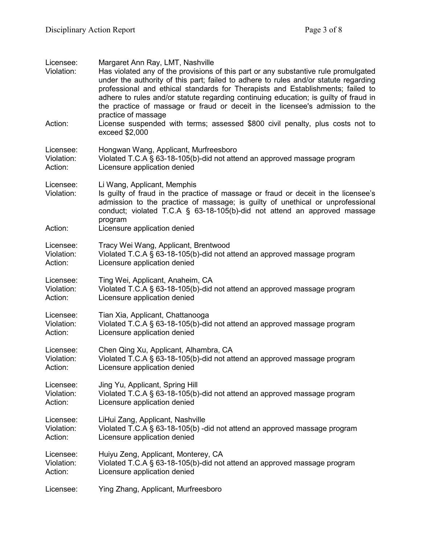| Licensee:<br>Violation: | Margaret Ann Ray, LMT, Nashville<br>Has violated any of the provisions of this part or any substantive rule promulgated<br>under the authority of this part; failed to adhere to rules and/or statute regarding<br>professional and ethical standards for Therapists and Establishments; failed to<br>adhere to rules and/or statute regarding continuing education; is guilty of fraud in<br>the practice of massage or fraud or deceit in the licensee's admission to the<br>practice of massage |
|-------------------------|----------------------------------------------------------------------------------------------------------------------------------------------------------------------------------------------------------------------------------------------------------------------------------------------------------------------------------------------------------------------------------------------------------------------------------------------------------------------------------------------------|
| Action:                 | License suspended with terms; assessed \$800 civil penalty, plus costs not to<br>exceed \$2,000                                                                                                                                                                                                                                                                                                                                                                                                    |
| Licensee:               | Hongwan Wang, Applicant, Murfreesboro                                                                                                                                                                                                                                                                                                                                                                                                                                                              |
| Violation:              | Violated T.C.A § 63-18-105(b)-did not attend an approved massage program                                                                                                                                                                                                                                                                                                                                                                                                                           |
| Action:                 | Licensure application denied                                                                                                                                                                                                                                                                                                                                                                                                                                                                       |
| Licensee:<br>Violation: | Li Wang, Applicant, Memphis<br>Is guilty of fraud in the practice of massage or fraud or deceit in the licensee's<br>admission to the practice of massage; is guilty of unethical or unprofessional<br>conduct; violated T.C.A $\S$ 63-18-105(b)-did not attend an approved massage<br>program                                                                                                                                                                                                     |
| Action:                 | Licensure application denied                                                                                                                                                                                                                                                                                                                                                                                                                                                                       |
| Licensee:               | Tracy Wei Wang, Applicant, Brentwood                                                                                                                                                                                                                                                                                                                                                                                                                                                               |
| Violation:              | Violated T.C.A § 63-18-105(b)-did not attend an approved massage program                                                                                                                                                                                                                                                                                                                                                                                                                           |
| Action:                 | Licensure application denied                                                                                                                                                                                                                                                                                                                                                                                                                                                                       |
| Licensee:               | Ting Wei, Applicant, Anaheim, CA                                                                                                                                                                                                                                                                                                                                                                                                                                                                   |
| Violation:              | Violated T.C.A § 63-18-105(b)-did not attend an approved massage program                                                                                                                                                                                                                                                                                                                                                                                                                           |
| Action:                 | Licensure application denied                                                                                                                                                                                                                                                                                                                                                                                                                                                                       |
| Licensee:               | Tian Xia, Applicant, Chattanooga                                                                                                                                                                                                                                                                                                                                                                                                                                                                   |
| Violation:              | Violated T.C.A § 63-18-105(b)-did not attend an approved massage program                                                                                                                                                                                                                                                                                                                                                                                                                           |
| Action:                 | Licensure application denied                                                                                                                                                                                                                                                                                                                                                                                                                                                                       |
| Licensee:               | Chen Qing Xu, Applicant, Alhambra, CA                                                                                                                                                                                                                                                                                                                                                                                                                                                              |
| Violation:              | Violated T.C.A § 63-18-105(b)-did not attend an approved massage program                                                                                                                                                                                                                                                                                                                                                                                                                           |
| Action:                 | Licensure application denied                                                                                                                                                                                                                                                                                                                                                                                                                                                                       |
| Licensee:               | Jing Yu, Applicant, Spring Hill                                                                                                                                                                                                                                                                                                                                                                                                                                                                    |
| Violation:              | Violated T.C.A § 63-18-105(b)-did not attend an approved massage program                                                                                                                                                                                                                                                                                                                                                                                                                           |
| Action:                 | Licensure application denied                                                                                                                                                                                                                                                                                                                                                                                                                                                                       |
| Licensee:               | LiHui Zang, Applicant, Nashville                                                                                                                                                                                                                                                                                                                                                                                                                                                                   |
| Violation:              | Violated T.C.A § 63-18-105(b) -did not attend an approved massage program                                                                                                                                                                                                                                                                                                                                                                                                                          |
| Action:                 | Licensure application denied                                                                                                                                                                                                                                                                                                                                                                                                                                                                       |
| Licensee:               | Huiyu Zeng, Applicant, Monterey, CA                                                                                                                                                                                                                                                                                                                                                                                                                                                                |
| Violation:              | Violated T.C.A § 63-18-105(b)-did not attend an approved massage program                                                                                                                                                                                                                                                                                                                                                                                                                           |
| Action:                 | Licensure application denied                                                                                                                                                                                                                                                                                                                                                                                                                                                                       |
| Licensee:               | Ying Zhang, Applicant, Murfreesboro                                                                                                                                                                                                                                                                                                                                                                                                                                                                |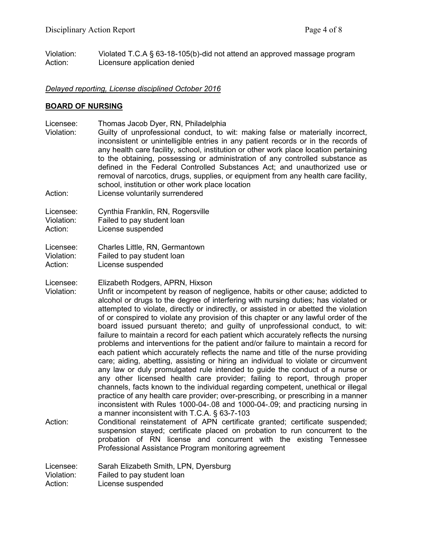Violation: Violated T.C.A § 63-18-105(b)-did not attend an approved massage program Action: Licensure application denied

#### *Delayed reporting, License disciplined October 2016*

#### **BOARD OF NURSING**

Licensee: Thomas Jacob Dyer, RN, Philadelphia Violation: Guilty of unprofessional conduct, to wit: making false or materially incorrect, inconsistent or unintelligible entries in any patient records or in the records of any health care facility, school, institution or other work place location pertaining to the obtaining, possessing or administration of any controlled substance as defined in the Federal Controlled Substances Act; and unauthorized use or removal of narcotics, drugs, supplies, or equipment from any health care facility, school, institution or other work place location

Action: License voluntarily surrendered

Licensee: Cynthia Franklin, RN, Rogersville

Violation: Failed to pay student loan

Action: License suspended

Licensee: Charles Little, RN, Germantown Violation: Failed to pay student loan Action: License suspended

Licensee: Elizabeth Rodgers, APRN, Hixson

Violation: Unfit or incompetent by reason of negligence, habits or other cause; addicted to alcohol or drugs to the degree of interfering with nursing duties; has violated or attempted to violate, directly or indirectly, or assisted in or abetted the violation of or conspired to violate any provision of this chapter or any lawful order of the board issued pursuant thereto; and guilty of unprofessional conduct, to wit: failure to maintain a record for each patient which accurately reflects the nursing problems and interventions for the patient and/or failure to maintain a record for each patient which accurately reflects the name and title of the nurse providing care; aiding, abetting, assisting or hiring an individual to violate or circumvent any law or duly promulgated rule intended to guide the conduct of a nurse or any other licensed health care provider; failing to report, through proper channels, facts known to the individual regarding competent, unethical or illegal practice of any health care provider; over-prescribing, or prescribing in a manner inconsistent with Rules 1000-04-.08 and 1000-04-.09; and practicing nursing in a manner inconsistent with T.C.A. § 63-7-103

Action: Conditional reinstatement of APN certificate granted; certificate suspended; suspension stayed; certificate placed on probation to run concurrent to the probation of RN license and concurrent with the existing Tennessee Professional Assistance Program monitoring agreement

Licensee: Sarah Elizabeth Smith, LPN, Dyersburg<br>Violation: Failed to pay student loan

Failed to pay student loan

Action: License suspended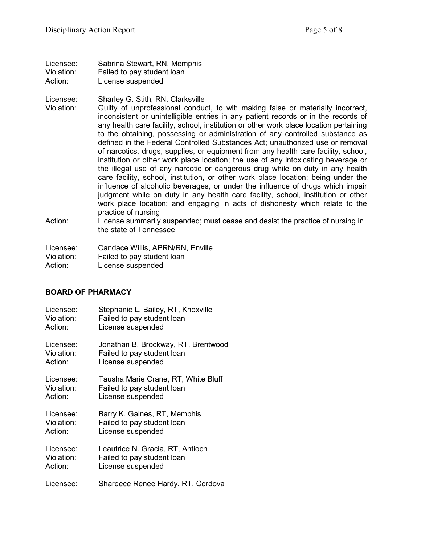| Licensee:  | Sabrina Stewart, RN, Memphis |
|------------|------------------------------|
| Violation: | Failed to pay student loan   |
| Action:    | License suspended            |

Licensee: Sharley G. Stith, RN, Clarksville

- Violation: Guilty of unprofessional conduct, to wit: making false or materially incorrect, inconsistent or unintelligible entries in any patient records or in the records of any health care facility, school, institution or other work place location pertaining to the obtaining, possessing or administration of any controlled substance as defined in the Federal Controlled Substances Act; unauthorized use or removal of narcotics, drugs, supplies, or equipment from any health care facility, school, institution or other work place location; the use of any intoxicating beverage or the illegal use of any narcotic or dangerous drug while on duty in any health care facility, school, institution, or other work place location; being under the influence of alcoholic beverages, or under the influence of drugs which impair judgment while on duty in any health care facility, school, institution or other work place location; and engaging in acts of dishonesty which relate to the practice of nursing
- Action: License summarily suspended; must cease and desist the practice of nursing in the state of Tennessee

| Licensee:  | Candace Willis, APRN/RN, Enville |
|------------|----------------------------------|
| Violation: | Failed to pay student loan       |
| Action:    | License suspended                |

## **BOARD OF PHARMACY**

| Licensee:  | Stephanie L. Bailey, RT, Knoxville  |
|------------|-------------------------------------|
| Violation: | Failed to pay student loan          |
| Action:    | License suspended                   |
| Licensee:  | Jonathan B. Brockway, RT, Brentwood |
| Violation: | Failed to pay student loan          |
| Action:    | License suspended                   |
| Licensee:  | Tausha Marie Crane, RT, White Bluff |
| Violation: | Failed to pay student loan          |
| Action:    | License suspended                   |
| Licensee:  | Barry K. Gaines, RT, Memphis        |
| Violation: | Failed to pay student loan          |
| Action:    | License suspended                   |
| Licensee:  | Leautrice N. Gracia, RT, Antioch    |
| Violation: | Failed to pay student loan          |
| Action:    | License suspended                   |
| Licensee:  | Shareece Renee Hardy, RT, Cordova   |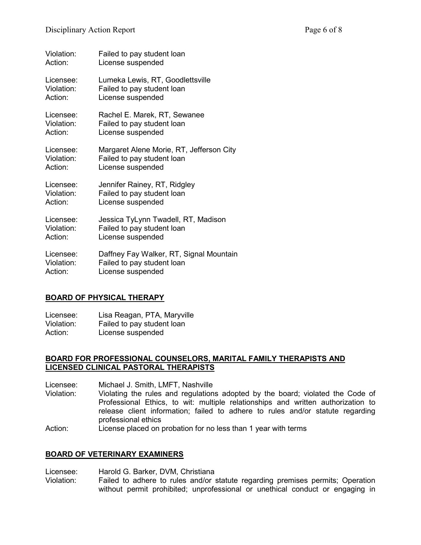| Violation: | Failed to pay student loan               |
|------------|------------------------------------------|
| Action:    | License suspended                        |
| Licensee:  | Lumeka Lewis, RT, Goodlettsville         |
| Violation: | Failed to pay student loan               |
| Action:    | License suspended                        |
| Licensee:  | Rachel E. Marek, RT, Sewanee             |
| Violation: | Failed to pay student loan               |
| Action:    | License suspended                        |
| Licensee:  | Margaret Alene Morie, RT, Jefferson City |
| Violation: | Failed to pay student loan               |
| Action:    | License suspended                        |
| Licensee:  | Jennifer Rainey, RT, Ridgley             |
| Violation: | Failed to pay student loan               |
| Action:    | License suspended                        |
| Licensee:  | Jessica TyLynn Twadell, RT, Madison      |
| Violation: | Failed to pay student loan               |
| Action:    | License suspended                        |
| Licensee:  | Daffney Fay Walker, RT, Signal Mountain  |
| Violation: | Failed to pay student loan               |
| Action:    | License suspended                        |

# **BOARD OF PHYSICAL THERAPY**

Licensee: Lisa Reagan, PTA, Maryville Violation: Failed to pay student loan<br>Action: License suspended License suspended

#### **BOARD FOR PROFESSIONAL COUNSELORS, MARITAL FAMILY THERAPISTS AND LICENSED CLINICAL PASTORAL THERAPISTS**

Licensee: Michael J. Smith, LMFT, Nashville<br>Violation: Violating the rules and regulation

- Violating the rules and regulations adopted by the board; violated the Code of Professional Ethics, to wit: multiple relationships and written authorization to release client information; failed to adhere to rules and/or statute regarding professional ethics
- Action: License placed on probation for no less than 1 year with terms

## **BOARD OF VETERINARY EXAMINERS**

Licensee: Harold G. Barker, DVM, Christiana Violation: Failed to adhere to rules and/or statute regarding premises permits; Operation without permit prohibited; unprofessional or unethical conduct or engaging in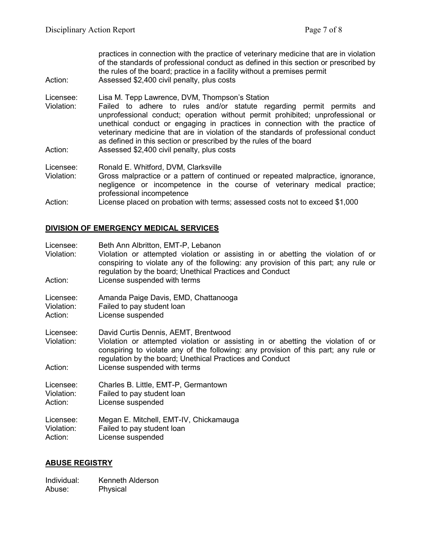practices in connection with the practice of veterinary medicine that are in violation of the standards of professional conduct as defined in this section or prescribed by the rules of the board; practice in a facility without a premises permit Action: Assessed \$2,400 civil penalty, plus costs

Licensee: Lisa M. Tepp Lawrence, DVM, Thompson's Station<br>Violation: Failed to adhere to rules and/or statute ree Failed to adhere to rules and/or statute regarding permit permits and unprofessional conduct; operation without permit prohibited; unprofessional or unethical conduct or engaging in practices in connection with the practice of veterinary medicine that are in violation of the standards of professional conduct as defined in this section or prescribed by the rules of the board Action: Assessed \$2,400 civil penalty, plus costs

Licensee: Ronald E. Whitford, DVM, Clarksville Violation: Gross malpractice or a pattern of continued or repeated malpractice, ignorance, negligence or incompetence in the course of veterinary medical practice; professional incompetence Action: License placed on probation with terms; assessed costs not to exceed \$1,000

## **DIVISION OF EMERGENCY MEDICAL SERVICES**

| Licensee:<br>Violation:            | Beth Ann Albritton, EMT-P, Lebanon<br>Violation or attempted violation or assisting in or abetting the violation of or<br>conspiring to violate any of the following: any provision of this part; any rule or<br>regulation by the board; Unethical Practices and Conduct                                   |
|------------------------------------|-------------------------------------------------------------------------------------------------------------------------------------------------------------------------------------------------------------------------------------------------------------------------------------------------------------|
| Action:                            | License suspended with terms                                                                                                                                                                                                                                                                                |
| Licensee:                          | Amanda Paige Davis, EMD, Chattanooga                                                                                                                                                                                                                                                                        |
| Violation:                         | Failed to pay student loan                                                                                                                                                                                                                                                                                  |
| Action:                            | License suspended                                                                                                                                                                                                                                                                                           |
| Licensee:<br>Violation:<br>Action: | David Curtis Dennis, AEMT, Brentwood<br>Violation or attempted violation or assisting in or abetting the violation of or<br>conspiring to violate any of the following: any provision of this part; any rule or<br>regulation by the board; Unethical Practices and Conduct<br>License suspended with terms |
| Licensee:                          | Charles B. Little, EMT-P, Germantown                                                                                                                                                                                                                                                                        |
| Violation:                         | Failed to pay student loan                                                                                                                                                                                                                                                                                  |
| Action:                            | License suspended                                                                                                                                                                                                                                                                                           |
| Licensee:                          | Megan E. Mitchell, EMT-IV, Chickamauga                                                                                                                                                                                                                                                                      |
| Violation:                         | Failed to pay student loan                                                                                                                                                                                                                                                                                  |
| Action:                            | License suspended                                                                                                                                                                                                                                                                                           |

## **ABUSE REGISTRY**

Individual: Kenneth Alderson Abuse: Physical